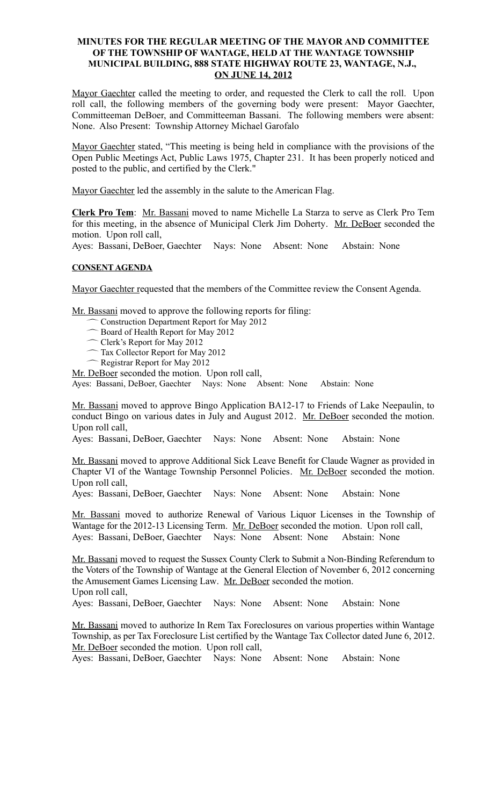#### **MINUTES FOR THE REGULAR MEETING OF THE MAYOR AND COMMITTEE OF THE TOWNSHIP OF WANTAGE, HELD AT THE WANTAGE TOWNSHIP MUNICIPAL BUILDING, 888 STATE HIGHWAY ROUTE 23, WANTAGE, N.J., ON JUNE 14, 2012**

Mayor Gaechter called the meeting to order, and requested the Clerk to call the roll. Upon roll call, the following members of the governing body were present: Mayor Gaechter, Committeeman DeBoer, and Committeeman Bassani. The following members were absent: None. Also Present: Township Attorney Michael Garofalo

Mayor Gaechter stated, "This meeting is being held in compliance with the provisions of the Open Public Meetings Act, Public Laws 1975, Chapter 231. It has been properly noticed and posted to the public, and certified by the Clerk."

Mayor Gaechter led the assembly in the salute to the American Flag.

**Clerk Pro Tem**: Mr. Bassani moved to name Michelle La Starza to serve as Clerk Pro Tem for this meeting, in the absence of Municipal Clerk Jim Doherty. Mr. DeBoer seconded the motion. Upon roll call,

Ayes: Bassani, DeBoer, Gaechter Nays: None Absent: None Abstain: None

#### **CONSENT AGENDA**

Mayor Gaechter requested that the members of the Committee review the Consent Agenda.

Mr. Bassani moved to approve the following reports for filing:

- Construction Department Report for May 2012
- Board of Health Report for May 2012
- Clerk's Report for May 2012
- Tax Collector Report for May 2012
- Registrar Report for May 2012

Mr. DeBoer seconded the motion. Upon roll call,

Ayes: Bassani, DeBoer, Gaechter Nays: None Absent: None Abstain: None

Mr. Bassani moved to approve Bingo Application BA12-17 to Friends of Lake Neepaulin, to conduct Bingo on various dates in July and August 2012. Mr. DeBoer seconded the motion. Upon roll call,

Ayes: Bassani, DeBoer, Gaechter Nays: None Absent: None Abstain: None

Mr. Bassani moved to approve Additional Sick Leave Benefit for Claude Wagner as provided in Chapter VI of the Wantage Township Personnel Policies. Mr. DeBoer seconded the motion. Upon roll call,

Ayes: Bassani, DeBoer, Gaechter Nays: None Absent: None Abstain: None

Mr. Bassani moved to authorize Renewal of Various Liquor Licenses in the Township of Wantage for the 2012-13 Licensing Term. Mr. DeBoer seconded the motion. Upon roll call, Ayes: Bassani, DeBoer, Gaechter Nays: None Absent: None Abstain: None

Mr. Bassani moved to request the Sussex County Clerk to Submit a Non-Binding Referendum to the Voters of the Township of Wantage at the General Election of November 6, 2012 concerning the Amusement Games Licensing Law. Mr. DeBoer seconded the motion. Upon roll call,

Ayes: Bassani, DeBoer, Gaechter Nays: None Absent: None Abstain: None

Mr. Bassani moved to authorize In Rem Tax Foreclosures on various properties within Wantage Township, as per Tax Foreclosure List certified by the Wantage Tax Collector dated June 6, 2012. Mr. DeBoer seconded the motion. Upon roll call,

Ayes: Bassani, DeBoer, Gaechter Nays: None Absent: None Abstain: None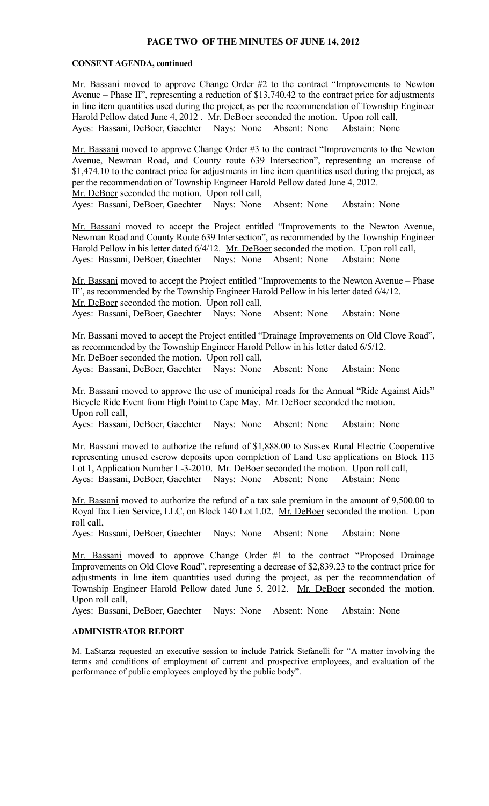### **PAGE TWO OF THE MINUTES OF JUNE 14, 2012**

#### **CONSENT AGENDA, continued**

Mr. Bassani moved to approve Change Order #2 to the contract "Improvements to Newton Avenue – Phase II", representing a reduction of \$13,740.42 to the contract price for adjustments in line item quantities used during the project, as per the recommendation of Township Engineer Harold Pellow dated June 4, 2012 . Mr. DeBoer seconded the motion. Upon roll call, Ayes: Bassani, DeBoer, Gaechter Nays: None Absent: None Abstain: None

Mr. Bassani moved to approve Change Order #3 to the contract "Improvements to the Newton Avenue, Newman Road, and County route 639 Intersection", representing an increase of \$1,474.10 to the contract price for adjustments in line item quantities used during the project, as per the recommendation of Township Engineer Harold Pellow dated June 4, 2012. Mr. DeBoer seconded the motion. Upon roll call,

Ayes: Bassani, DeBoer, Gaechter Nays: None Absent: None Abstain: None

Mr. Bassani moved to accept the Project entitled "Improvements to the Newton Avenue, Newman Road and County Route 639 Intersection", as recommended by the Township Engineer Harold Pellow in his letter dated 6/4/12. Mr. DeBoer seconded the motion. Upon roll call, Ayes: Bassani, DeBoer, Gaechter Nays: None Absent: None Abstain: None

Mr. Bassani moved to accept the Project entitled "Improvements to the Newton Avenue – Phase II", as recommended by the Township Engineer Harold Pellow in his letter dated 6/4/12. Mr. DeBoer seconded the motion. Upon roll call, Ayes: Bassani, DeBoer, Gaechter Nays: None Absent: None Abstain: None

Mr. Bassani moved to accept the Project entitled "Drainage Improvements on Old Clove Road", as recommended by the Township Engineer Harold Pellow in his letter dated 6/5/12. Mr. DeBoer seconded the motion. Upon roll call,

Ayes: Bassani, DeBoer, Gaechter Nays: None Absent: None Abstain: None

Mr. Bassani moved to approve the use of municipal roads for the Annual "Ride Against Aids" Bicycle Ride Event from High Point to Cape May. Mr. DeBoer seconded the motion. Upon roll call,

Ayes: Bassani, DeBoer, Gaechter Nays: None Absent: None Abstain: None

Mr. Bassani moved to authorize the refund of \$1,888.00 to Sussex Rural Electric Cooperative representing unused escrow deposits upon completion of Land Use applications on Block 113 Lot 1, Application Number L-3-2010. Mr. DeBoer seconded the motion. Upon roll call, Ayes: Bassani, DeBoer, Gaechter Nays: None Absent: None Abstain: None

Mr. Bassani moved to authorize the refund of a tax sale premium in the amount of 9,500.00 to Royal Tax Lien Service, LLC, on Block 140 Lot 1.02. Mr. DeBoer seconded the motion. Upon roll call,

Ayes: Bassani, DeBoer, Gaechter Nays: None Absent: None Abstain: None

Mr. Bassani moved to approve Change Order #1 to the contract "Proposed Drainage Improvements on Old Clove Road", representing a decrease of \$2,839.23 to the contract price for adjustments in line item quantities used during the project, as per the recommendation of Township Engineer Harold Pellow dated June 5, 2012. Mr. DeBoer seconded the motion. Upon roll call,

Ayes: Bassani, DeBoer, Gaechter Nays: None Absent: None Abstain: None

### **ADMINISTRATOR REPORT**

M. LaStarza requested an executive session to include Patrick Stefanelli for "A matter involving the terms and conditions of employment of current and prospective employees, and evaluation of the performance of public employees employed by the public body".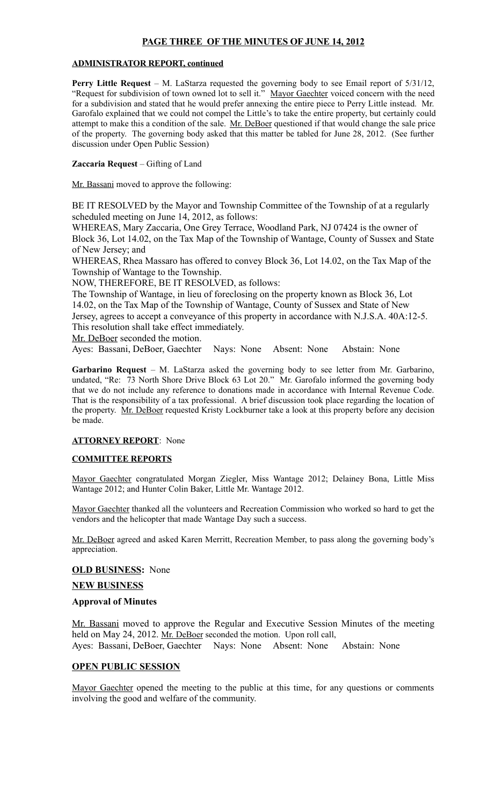## **PAGE THREE OF THE MINUTES OF JUNE 14, 2012**

#### **ADMINISTRATOR REPORT, continued**

**Perry Little Request** – M. LaStarza requested the governing body to see Email report of 5/31/12, "Request for subdivision of town owned lot to sell it." Mayor Gaechter voiced concern with the need for a subdivision and stated that he would prefer annexing the entire piece to Perry Little instead. Mr. Garofalo explained that we could not compel the Little's to take the entire property, but certainly could attempt to make this a condition of the sale. Mr. DeBoer questioned if that would change the sale price of the property. The governing body asked that this matter be tabled for June 28, 2012. (See further discussion under Open Public Session)

#### **Zaccaria Request** – Gifting of Land

Mr. Bassani moved to approve the following:

BE IT RESOLVED by the Mayor and Township Committee of the Township of at a regularly scheduled meeting on June 14, 2012, as follows:

WHEREAS, Mary Zaccaria, One Grey Terrace, Woodland Park, NJ 07424 is the owner of Block 36, Lot 14.02, on the Tax Map of the Township of Wantage, County of Sussex and State of New Jersey; and

WHEREAS, Rhea Massaro has offered to convey Block 36, Lot 14.02, on the Tax Map of the Township of Wantage to the Township.

NOW, THEREFORE, BE IT RESOLVED, as follows:

The Township of Wantage, in lieu of foreclosing on the property known as Block 36, Lot 14.02, on the Tax Map of the Township of Wantage, County of Sussex and State of New Jersey, agrees to accept a conveyance of this property in accordance with N.J.S.A. 40A:12-5. This resolution shall take effect immediately.

Mr. DeBoer seconded the motion.

Ayes: Bassani, DeBoer, Gaechter Nays: None Absent: None Abstain: None

**Garbarino Request** – M. LaStarza asked the governing body to see letter from Mr. Garbarino, undated, "Re: 73 North Shore Drive Block 63 Lot 20." Mr. Garofalo informed the governing body that we do not include any reference to donations made in accordance with Internal Revenue Code. That is the responsibility of a tax professional. A brief discussion took place regarding the location of the property. Mr. DeBoer requested Kristy Lockburner take a look at this property before any decision be made.

#### **ATTORNEY REPORT**: None

### **COMMITTEE REPORTS**

Mayor Gaechter congratulated Morgan Ziegler, Miss Wantage 2012; Delainey Bona, Little Miss Wantage 2012; and Hunter Colin Baker, Little Mr. Wantage 2012.

Mayor Gaechter thanked all the volunteers and Recreation Commission who worked so hard to get the vendors and the helicopter that made Wantage Day such a success.

Mr. DeBoer agreed and asked Karen Merritt, Recreation Member, to pass along the governing body's appreciation.

#### **OLD BUSINESS:** None

**NEW BUSINESS**

#### **Approval of Minutes**

Mr. Bassani moved to approve the Regular and Executive Session Minutes of the meeting held on May 24, 2012. Mr. DeBoer seconded the motion. Upon roll call, Ayes: Bassani, DeBoer, Gaechter Nays: None Absent: None Abstain: None

### **OPEN PUBLIC SESSION**

Mayor Gaechter opened the meeting to the public at this time, for any questions or comments involving the good and welfare of the community.